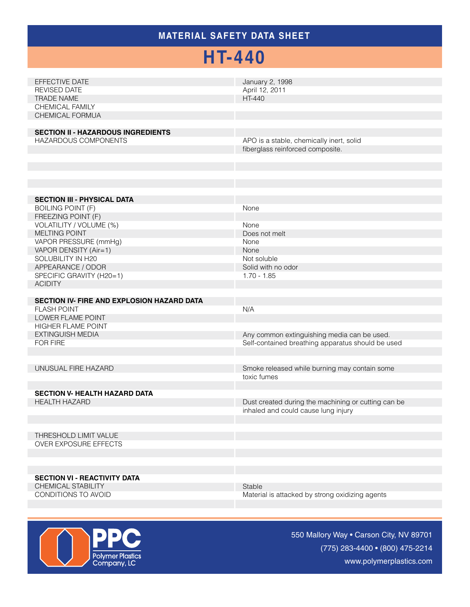### **MATERIAL SAFETY Data Sheet**

## **HT-440**

| EFFECTIVE DATE<br><b>REVISED DATE</b><br><b>TRADE NAME</b><br>CHEMICAL FAMILY<br>CHEMICAL FORMUA<br><b>SECTION II - HAZARDOUS INGREDIENTS</b><br>HAZARDOUS COMPONENTS | January 2, 1998<br>April 12, 2011<br>HT-440<br>APO is a stable, chemically inert, solid<br>fiberglass reinforced composite. |
|-----------------------------------------------------------------------------------------------------------------------------------------------------------------------|-----------------------------------------------------------------------------------------------------------------------------|
|                                                                                                                                                                       |                                                                                                                             |
| <b>SECTION III - PHYSICAL DATA</b><br><b>BOILING POINT (F)</b>                                                                                                        | None                                                                                                                        |
| FREEZING POINT (F)<br>VOLATILITY / VOLUME (%)<br>MELTING POINT<br>VAPOR PRESSURE (mmHg)                                                                               | None<br>Does not melt<br>None                                                                                               |
| VAPOR DENSITY (Air=1)<br>SOLUBILITY IN H20<br>APPEARANCE / ODOR                                                                                                       | None<br>Not soluble<br>Solid with no odor                                                                                   |
| SPECIFIC GRAVITY (H20=1)<br><b>ACIDITY</b>                                                                                                                            | $1.70 - 1.85$                                                                                                               |
| SECTION IV- FIRE AND EXPLOSION HAZARD DATA<br><b>FLASH POINT</b>                                                                                                      | N/A                                                                                                                         |
| <b>LOWER FLAME POINT</b><br>HIGHER FLAME POINT<br><b>EXTINGUISH MEDIA</b>                                                                                             | Any common extinguishing media can be used.                                                                                 |
| FOR FIRE                                                                                                                                                              | Self-contained breathing apparatus should be used                                                                           |
| UNUSUAL FIRE HAZARD                                                                                                                                                   | Smoke released while burning may contain some<br>toxic fumes                                                                |
| <b>SECTION V- HEALTH HAZARD DATA</b><br><b>HEALTH HAZARD</b>                                                                                                          | Dust created during the machining or cutting can be<br>inhaled and could cause lung injury                                  |
| THRESHOLD LIMIT VALUE<br><b>OVER EXPOSURE EFFECTS</b>                                                                                                                 |                                                                                                                             |
| <b>SECTION VI - REACTIVITY DATA</b><br>CHEMICAL STABILITY<br>CONDITIONS TO AVOID                                                                                      | Stable<br>Material is attacked by strong oxidizing agents                                                                   |



550 Mallory Way • Carson City, NV 89701 (775) 283-4400 • (800) 475-2214 www.polymerplastics.com